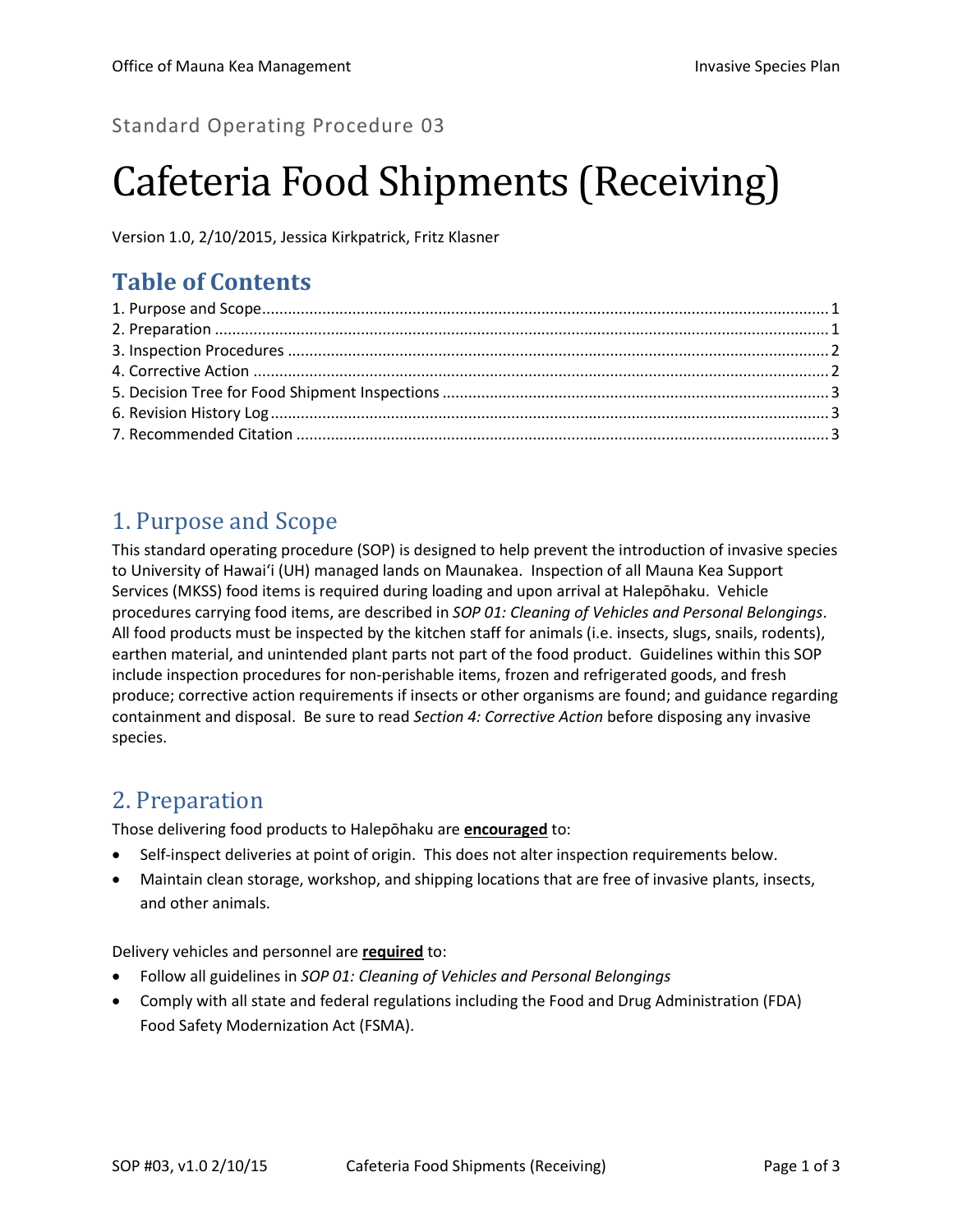#### Standard Operating Procedure 03

# Cafeteria Food Shipments (Receiving)

Version 1.0, 2/10/2015, Jessica Kirkpatrick, Fritz Klasner

# **Table of Contents**

# <span id="page-0-0"></span>1. Purpose and Scope

This standard operating procedure (SOP) is designed to help prevent the introduction of invasive species to University of Hawai'i (UH) managed lands on Maunakea. Inspection of all Mauna Kea Support Services (MKSS) food items is required during loading and upon arrival at Halepōhaku. Vehicle procedures carrying food items, are described in *SOP 01: Cleaning of Vehicles and Personal Belongings*. All food products must be inspected by the kitchen staff for animals (i.e. insects, slugs, snails, rodents), earthen material, and unintended plant parts not part of the food product. Guidelines within this SOP include inspection procedures for non-perishable items, frozen and refrigerated goods, and fresh produce; corrective action requirements if insects or other organisms are found; and guidance regarding containment and disposal. Be sure to read *Section 4: Corrective Action* before disposing any invasive species.

#### <span id="page-0-1"></span>2. Preparation

Those delivering food products to Halepōhaku are **encouraged** to:

- Self-inspect deliveries at point of origin. This does not alter inspection requirements below.
- Maintain clean storage, workshop, and shipping locations that are free of invasive plants, insects, and other animals.

Delivery vehicles and personnel are **required** to:

- Follow all guidelines in *SOP 01: Cleaning of Vehicles and Personal Belongings*
- Comply with all state and federal regulations including the Food and Drug Administration (FDA) Food Safety Modernization Act (FSMA).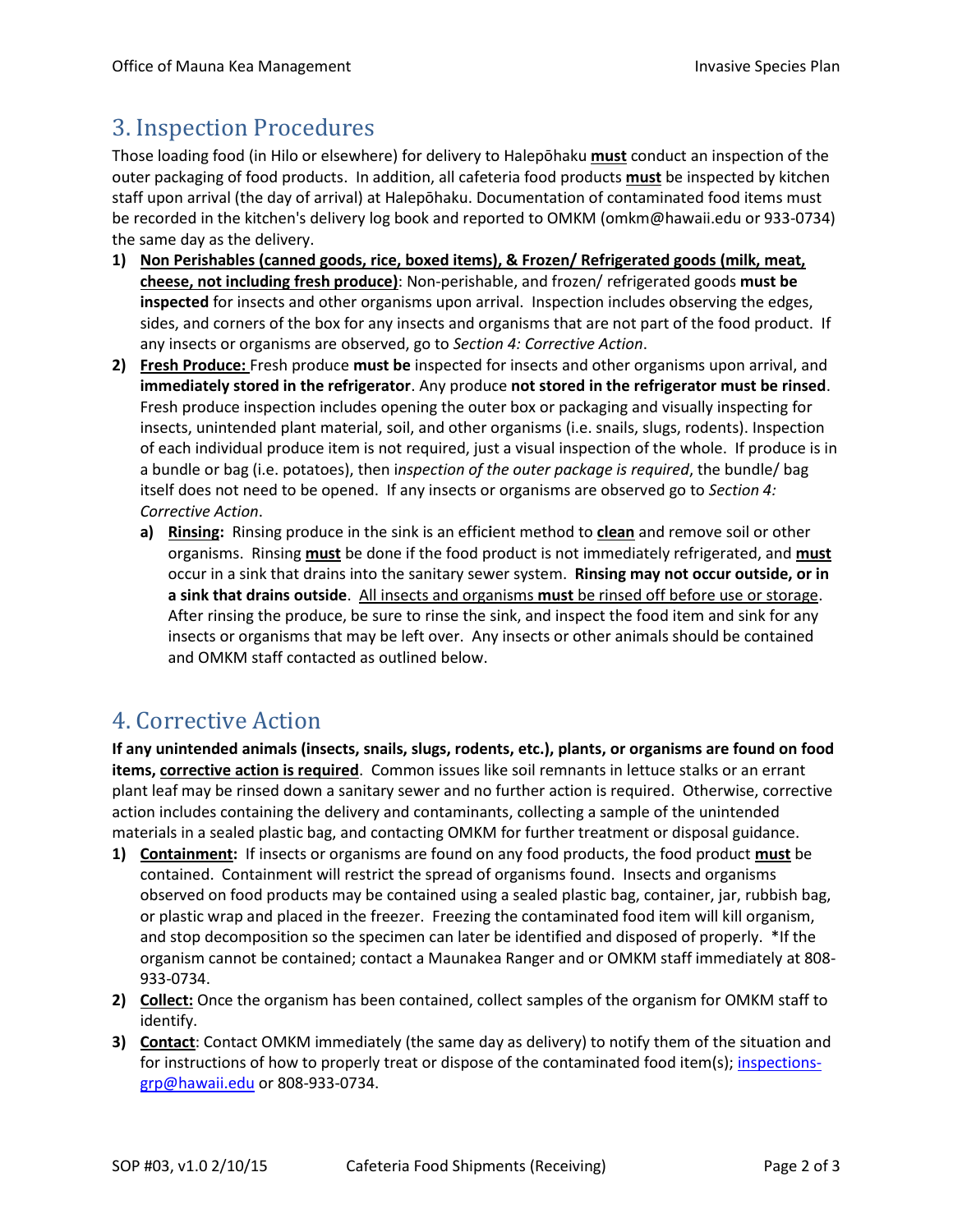## <span id="page-1-0"></span>3. Inspection Procedures

Those loading food (in Hilo or elsewhere) for delivery to Halepōhaku **must** conduct an inspection of the outer packaging of food products. In addition, all cafeteria food products **must** be inspected by kitchen staff upon arrival (the day of arrival) at Halepōhaku. Documentation of contaminated food items must be recorded in the kitchen's delivery log book and reported to OMKM (omkm@hawaii.edu or 933-0734) the same day as the delivery.

- **1) Non Perishables (canned goods, rice, boxed items), & Frozen/ Refrigerated goods (milk, meat, cheese, not including fresh produce)**: Non-perishable, and frozen/ refrigerated goods **must be inspected** for insects and other organisms upon arrival. Inspection includes observing the edges, sides, and corners of the box for any insects and organisms that are not part of the food product. If any insects or organisms are observed, go to *Section 4: Corrective Action*.
- **2) Fresh Produce:** Fresh produce **must be** inspected for insects and other organisms upon arrival, and **immediately stored in the refrigerator**. Any produce **not stored in the refrigerator must be rinsed**. Fresh produce inspection includes opening the outer box or packaging and visually inspecting for insects, unintended plant material, soil, and other organisms (i.e. snails, slugs, rodents). Inspection of each individual produce item is not required, just a visual inspection of the whole. If produce is in a bundle or bag (i.e. potatoes), then i*nspection of the outer package is required*, the bundle/ bag itself does not need to be opened. If any insects or organisms are observed go to *Section 4: Corrective Action*.
	- **a) Rinsing:** Rinsing produce in the sink is an effic**i**ent method to **clean** and remove soil or other organisms. Rinsing **must** be done if the food product is not immediately refrigerated, and **must**  occur in a sink that drains into the sanitary sewer system. **Rinsing may not occur outside, or in a sink that drains outside**. All insects and organisms **must** be rinsed off before use or storage. After rinsing the produce, be sure to rinse the sink, and inspect the food item and sink for any insects or organisms that may be left over. Any insects or other animals should be contained and OMKM staff contacted as outlined below.

#### <span id="page-1-1"></span>4. Corrective Action

**If any unintended animals (insects, snails, slugs, rodents, etc.), plants, or organisms are found on food items, corrective action is required**. Common issues like soil remnants in lettuce stalks or an errant plant leaf may be rinsed down a sanitary sewer and no further action is required. Otherwise, corrective action includes containing the delivery and contaminants, collecting a sample of the unintended materials in a sealed plastic bag, and contacting OMKM for further treatment or disposal guidance.

- **1) Containment:** If insects or organisms are found on any food products, the food product **must** be contained. Containment will restrict the spread of organisms found. Insects and organisms observed on food products may be contained using a sealed plastic bag, container, jar, rubbish bag, or plastic wrap and placed in the freezer. Freezing the contaminated food item will kill organism, and stop decomposition so the specimen can later be identified and disposed of properly. \*If the organism cannot be contained; contact a Maunakea Ranger and or OMKM staff immediately at 808- 933-0734.
- **2) Collect:** Once the organism has been contained, collect samples of the organism for OMKM staff to identify.
- **3) Contact**: Contact OMKM immediately (the same day as delivery) to notify them of the situation and for instructions of how to properly treat or dispose of the contaminated food item(s); [inspections](mailto:inspections-grp@hawaii.edu)[grp@hawaii.edu](mailto:inspections-grp@hawaii.edu) or 808-933-0734.